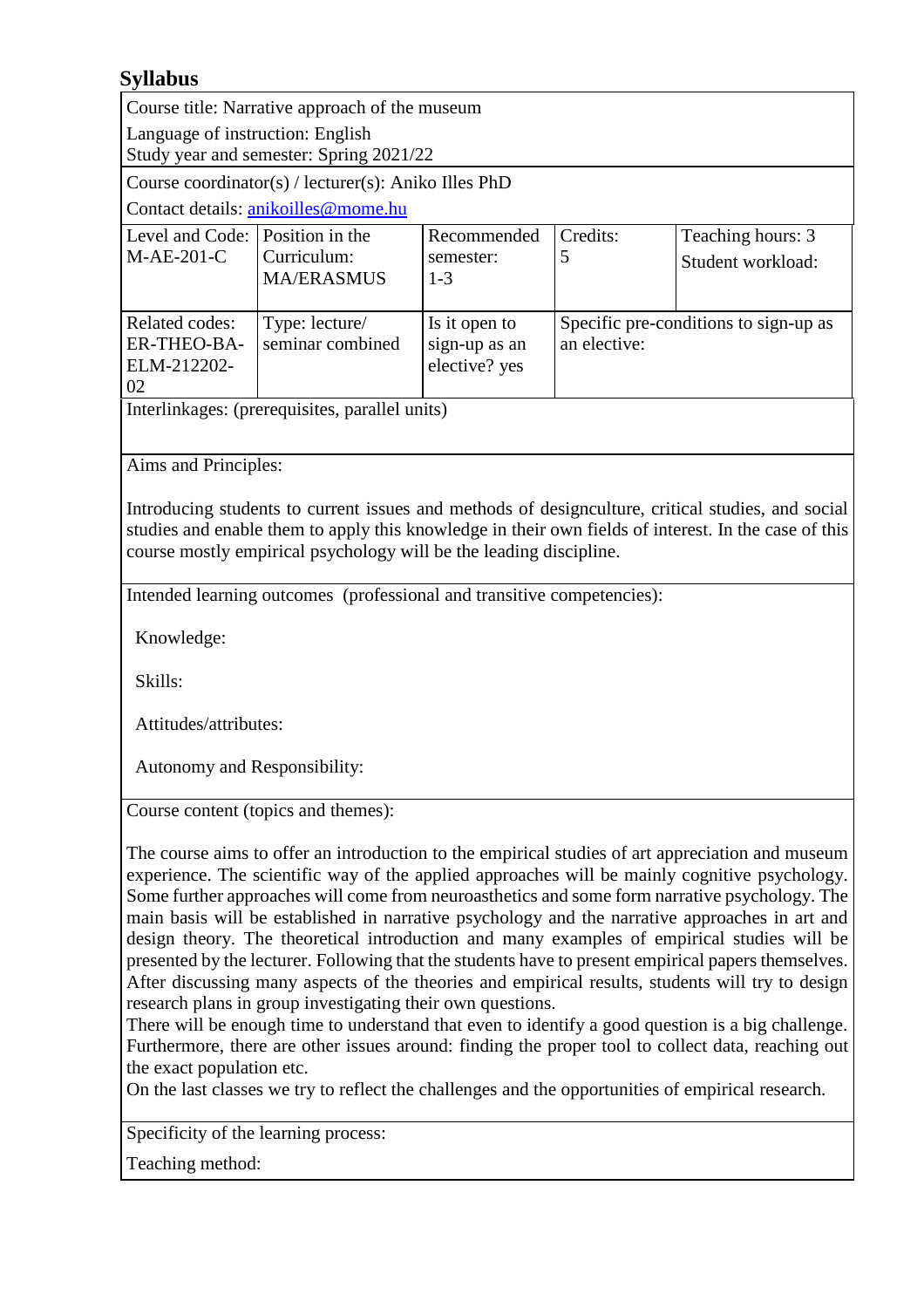## **Syllabus**

Course title: Narrative approach of the museum

Language of instruction: English Study year and semester: Spring 2021/22

Course coordinator(s) / lecturer(s): Aniko Illes PhD

Contact details: [anikoilles@mome.hu](mailto:anikoilles@mome.hu)

| Level and Code: Position in the |                   | Recommended   | Credits:                              | Teaching hours: 3 |
|---------------------------------|-------------------|---------------|---------------------------------------|-------------------|
| $M-AE-201-C$                    | Curriculum:       | semester:     |                                       | Student workload: |
|                                 | <b>MA/ERASMUS</b> | $1 - 3$       |                                       |                   |
|                                 |                   |               |                                       |                   |
| Related codes:                  | Type: lecture/    | Is it open to | Specific pre-conditions to sign-up as |                   |
| ER-THEO-BA-                     | seminar combined  | sign-up as an | an elective:                          |                   |
| ELM-212202-                     |                   | elective? yes |                                       |                   |
| 02                              |                   |               |                                       |                   |
|                                 |                   |               |                                       |                   |

Interlinkages: (prerequisites, parallel units)

Aims and Principles:

Introducing students to current issues and methods of designculture, critical studies, and social studies and enable them to apply this knowledge in their own fields of interest. In the case of this course mostly empirical psychology will be the leading discipline.

Intended learning outcomes (professional and transitive competencies):

Knowledge:

Skills:

Attitudes/attributes:

Autonomy and Responsibility:

Course content (topics and themes):

The course aims to offer an introduction to the empirical studies of art appreciation and museum experience. The scientific way of the applied approaches will be mainly cognitive psychology. Some further approaches will come from neuroasthetics and some form narrative psychology. The main basis will be established in narrative psychology and the narrative approaches in art and design theory. The theoretical introduction and many examples of empirical studies will be presented by the lecturer. Following that the students have to present empirical papers themselves. After discussing many aspects of the theories and empirical results, students will try to design research plans in group investigating their own questions.

There will be enough time to understand that even to identify a good question is a big challenge. Furthermore, there are other issues around: finding the proper tool to collect data, reaching out the exact population etc.

On the last classes we try to reflect the challenges and the opportunities of empirical research.

Specificity of the learning process:

Teaching method: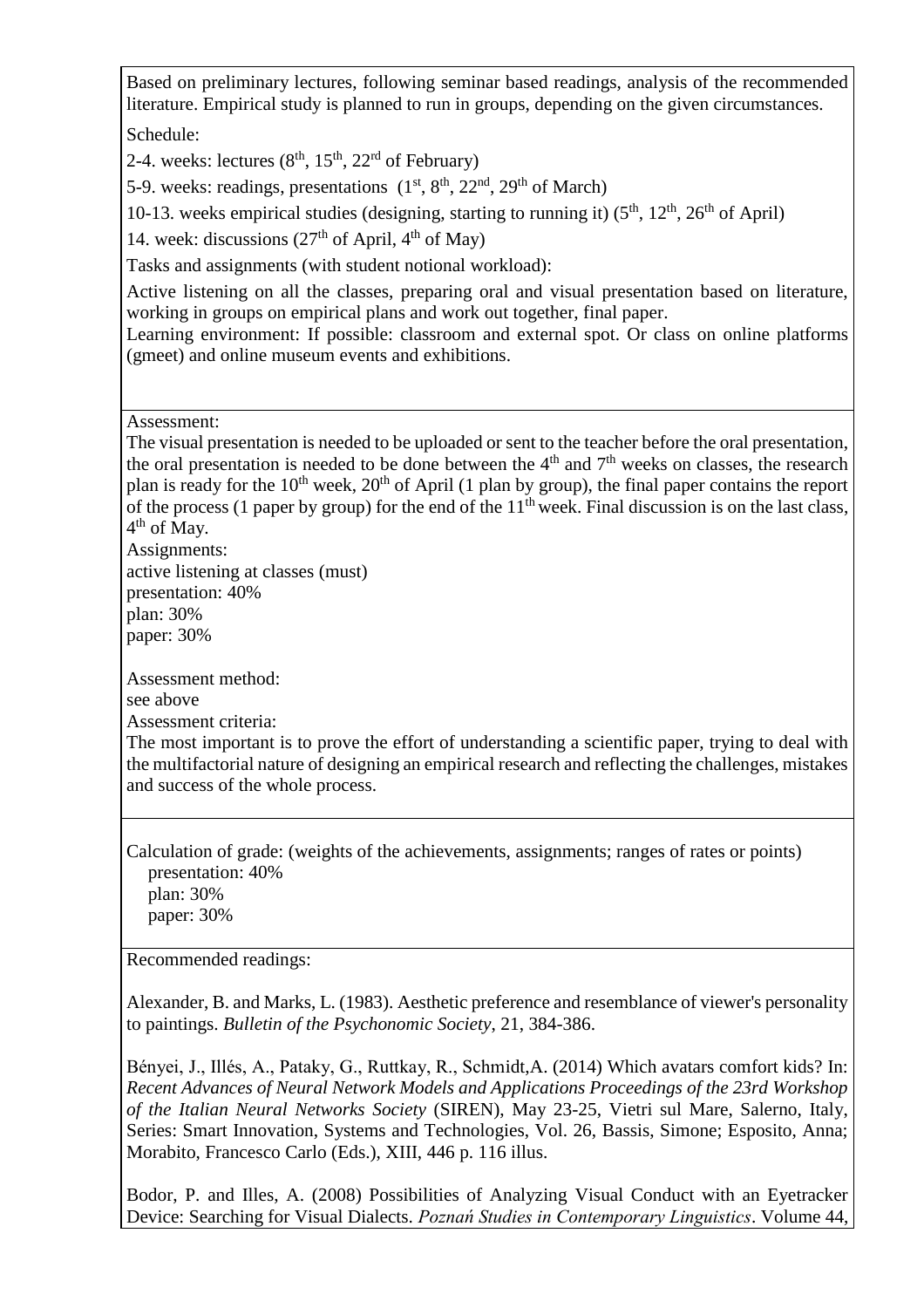Based on preliminary lectures, following seminar based readings, analysis of the recommended literature. Empirical study is planned to run in groups, depending on the given circumstances. Schedule:

2-4. weeks: lectures  $(8<sup>th</sup>, 15<sup>th</sup>, 22<sup>rd</sup>$  of February)

5-9. weeks: readings, presentations  $(1<sup>st</sup>, 8<sup>th</sup>, 22<sup>nd</sup>, 29<sup>th</sup>$  of March)

10-13. weeks empirical studies (designing, starting to running it)  $(5<sup>th</sup>, 12<sup>th</sup>, 26<sup>th</sup>$  of April)

14. week: discussions  $(27<sup>th</sup>$  of April,  $4<sup>th</sup>$  of May)

Tasks and assignments (with student notional workload):

Active listening on all the classes, preparing oral and visual presentation based on literature, working in groups on empirical plans and work out together, final paper.

Learning environment: If possible: classroom and external spot. Or class on online platforms (gmeet) and online museum events and exhibitions.

Assessment:

The visual presentation is needed to be uploaded or sent to the teacher before the oral presentation, the oral presentation is needed to be done between the  $4<sup>th</sup>$  and  $7<sup>th</sup>$  weeks on classes, the research plan is ready for the  $10<sup>th</sup>$  week,  $20<sup>th</sup>$  of April (1 plan by group), the final paper contains the report of the process (1 paper by group) for the end of the  $11<sup>th</sup>$  week. Final discussion is on the last class, 4<sup>th</sup> of May.

Assignments:

active listening at classes (must) presentation: 40%

plan: 30%

paper: 30%

Assessment method:

see above

Assessment criteria:

The most important is to prove the effort of understanding a scientific paper, trying to deal with the multifactorial nature of designing an empirical research and reflecting the challenges, mistakes and success of the whole process.

Calculation of grade: (weights of the achievements, assignments; ranges of rates or points) presentation: 40%

plan: 30% paper: 30%

Recommended readings:

Alexander, B. and Marks, L. (1983). Aesthetic preference and resemblance of viewer's personality to paintings. *Bulletin of the Psychonomic Society*, 21, 384-386.

Bényei, J., Illés, A., Pataky, G., Ruttkay, R., Schmidt,A. (2014) Which avatars comfort kids? In: *Recent Advances of Neural Network Models and Applications Proceedings of the 23rd Workshop of the Italian Neural Networks Society* (SIREN), May 23-25, Vietri sul Mare, Salerno, Italy, Series: Smart Innovation, Systems and Technologies, Vol. 26, Bassis, Simone; Esposito, Anna; Morabito, Francesco Carlo (Eds.), XIII, 446 p. 116 illus.

Bodor, P. and Illes, A. (2008) Possibilities of Analyzing Visual Conduct with an Eyetracker Device: Searching for Visual Dialects. *Poznań Studies in Contemporary Linguistics*. Volume 44,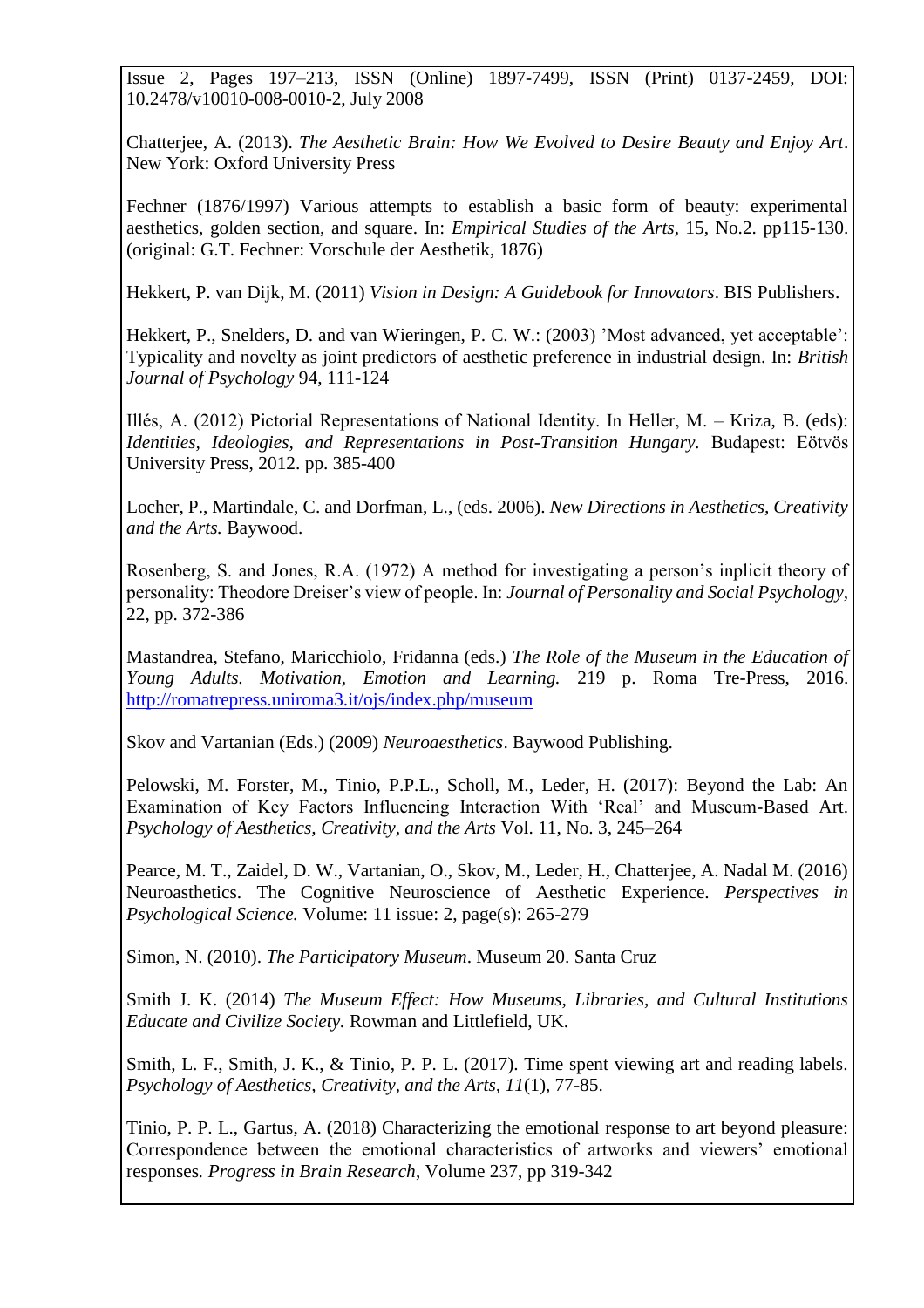Issue 2, Pages 197–213, ISSN (Online) 1897-7499, ISSN (Print) 0137-2459, DOI: 10.2478/v10010-008-0010-2, July 2008

Chatterjee, A. (2013). *The Aesthetic Brain: How We Evolved to Desire Beauty and Enjoy Art*. New York: Oxford University Press

Fechner (1876/1997) Various attempts to establish a basic form of beauty: experimental aesthetics, golden section, and square. In: *Empirical Studies of the Arts,* 15, No.2. pp115-130. (original: G.T. Fechner: Vorschule der Aesthetik, 1876)

Hekkert, P. van Dijk, M. (2011) *Vision in Design: A Guidebook for Innovators*. BIS Publishers.

Hekkert, P., Snelders, D. and van Wieringen, P. C. W.: (2003) 'Most advanced, yet acceptable': Typicality and novelty as joint predictors of aesthetic preference in industrial design. In: *British Journal of Psychology* 94, 111-124

Illés, A. (2012) Pictorial Representations of National Identity. In Heller, M. – Kriza, B. (eds): *Identities, Ideologies, and Representations in Post-Transition Hungary.* Budapest: Eötvös University Press, 2012. pp. 385-400

Locher, P., Martindale, C. and Dorfman, L., (eds. 2006). *New Directions in Aesthetics, Creativity and the Arts.* Baywood.

Rosenberg, S. and Jones, R.A. (1972) A method for investigating a person's inplicit theory of personality: Theodore Dreiser's view of people. In: *Journal of Personality and Social Psychology,*  22, pp. 372-386

Mastandrea, Stefano, Maricchiolo, Fridanna (eds.) *The Role of the Museum in the Education of Young Adults. Motivation, Emotion and Learning.* 219 p. Roma Tre-Press, 2016. <http://romatrepress.uniroma3.it/ojs/index.php/museum>

Skov and Vartanian (Eds.) (2009) *Neuroaesthetics*. Baywood Publishing.

Pelowski, M. Forster, M., Tinio, P.P.L., Scholl, M., Leder, H. (2017): Beyond the Lab: An Examination of Key Factors Influencing Interaction With 'Real' and Museum-Based Art. *Psychology of Aesthetics, Creativity, and the Arts* Vol. 11, No. 3, 245–264

Pearce, M. T., Zaidel, D. W., Vartanian, O., Skov, M., Leder, H., Chatterjee, A. Nadal M. (2016) Neuroasthetics. The Cognitive Neuroscience of Aesthetic Experience. *Perspectives in Psychological Science.* Volume: 11 issue: 2, page(s): 265-279

Simon, N. (2010). *The Participatory Museum*. Museum 20. Santa Cruz

Smith J. K. (2014) *The Museum Effect: How Museums, Libraries, and Cultural Institutions Educate and Civilize Society.* Rowman and Littlefield, UK.

Smith, L. F., Smith, J. K., & Tinio, P. P. L. (2017). Time spent viewing art and reading labels. *Psychology of Aesthetics, Creativity, and the Arts, 11*(1), 77-85.

Tinio, P. P. L., Gartus, A. (2018) Characterizing the emotional response to art beyond pleasure: Correspondence between the emotional characteristics of artworks and viewers' emotional responses*. Progress in Brain Research*, Volume 237, pp 319-342